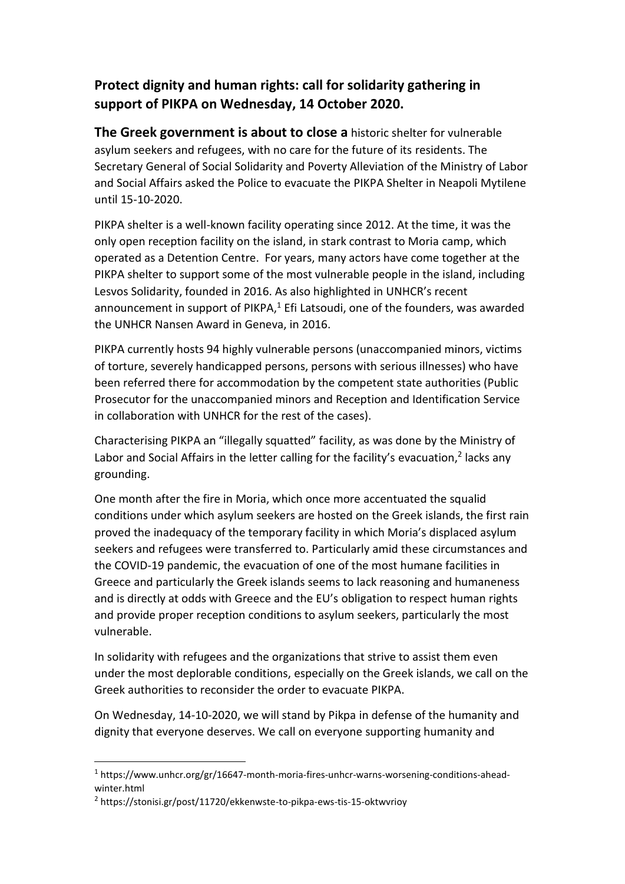## **Protect dignity and human rights: call for solidarity gathering in support of PIKPA on Wednesday, 14 October 2020.**

**The Greek government is about to close a** historic shelter for vulnerable asylum seekers and refugees, with no care for the future of its residents. The Secretary General of Social Solidarity and Poverty Alleviation of the Ministry of Labor and Social Affairs asked the Police to evacuate the PIKPA Shelter in Neapoli Mytilene until 15-10-2020.

PIKPA shelter is a well-known facility operating since 2012. At the time, it was the only open reception facility on the island, in stark contrast to Moria camp, which operated as a Detention Centre. For years, many actors have come together at the PIKPA shelter to support some of the most vulnerable people in the island, including Lesvos Solidarity, founded in 2016. As also highlighted in UNHCR's recent announcement in support of PIKPA, $1$  Efi Latsoudi, one of the founders, was awarded the UNHCR Nansen Award in Geneva, in 2016.

PIKPA currently hosts 94 highly vulnerable persons (unaccompanied minors, victims of torture, severely handicapped persons, persons with serious illnesses) who have been referred there for accommodation by the competent state authorities (Public Prosecutor for the unaccompanied minors and Reception and Identification Service in collaboration with UNHCR for the rest of the cases).

Characterising PIKPA an "illegally squatted" facility, as was done by the Ministry of Labor and Social Affairs in the letter calling for the facility's evacuation,<sup>2</sup> lacks any grounding.

One month after the fire in Moria, which once more accentuated the squalid conditions under which asylum seekers are hosted on the Greek islands, the first rain proved the inadequacy of the temporary facility in which Moria's displaced asylum seekers and refugees were transferred to. Particularly amid these circumstances and the COVID-19 pandemic, the evacuation of one of the most humane facilities in Greece and particularly the Greek islands seems to lack reasoning and humaneness and is directly at odds with Greece and the EU's obligation to respect human rights and provide proper reception conditions to asylum seekers, particularly the most vulnerable.

In solidarity with refugees and the organizations that strive to assist them even under the most deplorable conditions, especially on the Greek islands, we call on the Greek authorities to reconsider the order to evacuate PIKPA.

On Wednesday, 14-10-2020, we will stand by Pikpa in defense of the humanity and dignity that everyone deserves. We call on everyone supporting humanity and

<sup>&</sup>lt;sup>1</sup> https://www.unhcr.org/gr/16647-month-moria-fires-unhcr-warns-worsening-conditions-aheadwinter.html

<sup>2</sup> https://stonisi.gr/post/11720/ekkenwste-to-pikpa-ews-tis-15-oktwvrioy